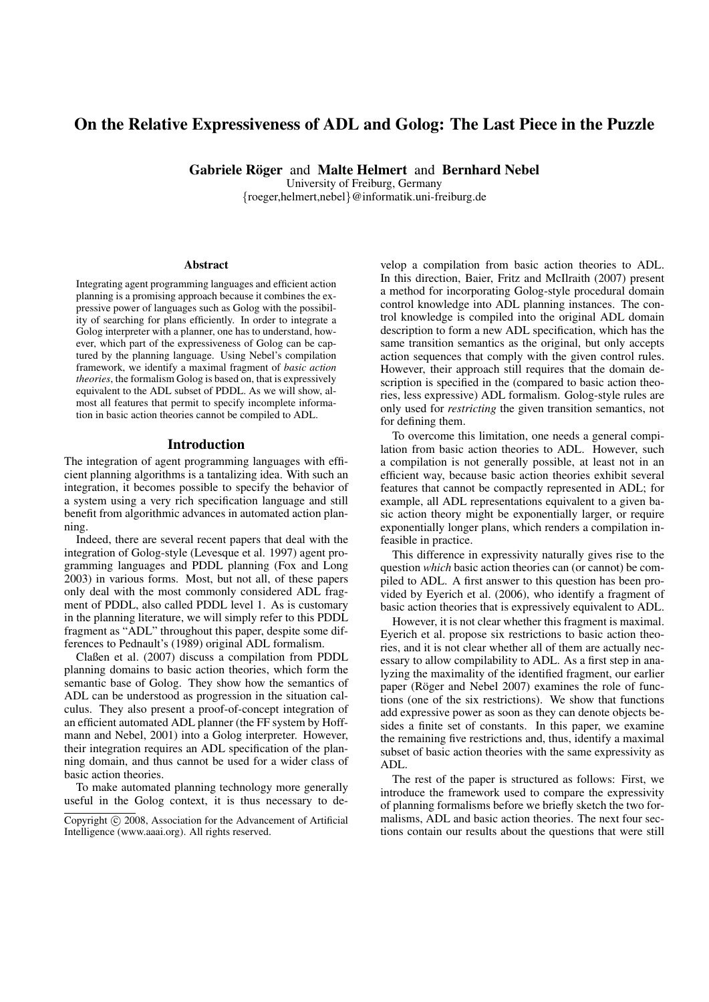# On the Relative Expressiveness of ADL and Golog: The Last Piece in the Puzzle

Gabriele Röger and Malte Helmert and Bernhard Nebel

University of Freiburg, Germany {roeger,helmert,nebel}@informatik.uni-freiburg.de

#### Abstract

Integrating agent programming languages and efficient action planning is a promising approach because it combines the expressive power of languages such as Golog with the possibility of searching for plans efficiently. In order to integrate a Golog interpreter with a planner, one has to understand, however, which part of the expressiveness of Golog can be captured by the planning language. Using Nebel's compilation framework, we identify a maximal fragment of *basic action theories*, the formalism Golog is based on, that is expressively equivalent to the ADL subset of PDDL. As we will show, almost all features that permit to specify incomplete information in basic action theories cannot be compiled to ADL.

#### Introduction

The integration of agent programming languages with efficient planning algorithms is a tantalizing idea. With such an integration, it becomes possible to specify the behavior of a system using a very rich specification language and still benefit from algorithmic advances in automated action planning.

Indeed, there are several recent papers that deal with the integration of Golog-style (Levesque et al. 1997) agent programming languages and PDDL planning (Fox and Long 2003) in various forms. Most, but not all, of these papers only deal with the most commonly considered ADL fragment of PDDL, also called PDDL level 1. As is customary in the planning literature, we will simply refer to this PDDL fragment as "ADL" throughout this paper, despite some differences to Pednault's (1989) original ADL formalism.

Claßen et al. (2007) discuss a compilation from PDDL planning domains to basic action theories, which form the semantic base of Golog. They show how the semantics of ADL can be understood as progression in the situation calculus. They also present a proof-of-concept integration of an efficient automated ADL planner (the FF system by Hoffmann and Nebel, 2001) into a Golog interpreter. However, their integration requires an ADL specification of the planning domain, and thus cannot be used for a wider class of basic action theories.

To make automated planning technology more generally useful in the Golog context, it is thus necessary to de-

velop a compilation from basic action theories to ADL. In this direction, Baier, Fritz and McIlraith (2007) present a method for incorporating Golog-style procedural domain control knowledge into ADL planning instances. The control knowledge is compiled into the original ADL domain description to form a new ADL specification, which has the same transition semantics as the original, but only accepts action sequences that comply with the given control rules. However, their approach still requires that the domain description is specified in the (compared to basic action theories, less expressive) ADL formalism. Golog-style rules are only used for *restricting* the given transition semantics, not for defining them.

To overcome this limitation, one needs a general compilation from basic action theories to ADL. However, such a compilation is not generally possible, at least not in an efficient way, because basic action theories exhibit several features that cannot be compactly represented in ADL; for example, all ADL representations equivalent to a given basic action theory might be exponentially larger, or require exponentially longer plans, which renders a compilation infeasible in practice.

This difference in expressivity naturally gives rise to the question *which* basic action theories can (or cannot) be compiled to ADL. A first answer to this question has been provided by Eyerich et al. (2006), who identify a fragment of basic action theories that is expressively equivalent to ADL.

However, it is not clear whether this fragment is maximal. Eyerich et al. propose six restrictions to basic action theories, and it is not clear whether all of them are actually necessary to allow compilability to ADL. As a first step in analyzing the maximality of the identified fragment, our earlier paper (Röger and Nebel 2007) examines the role of functions (one of the six restrictions). We show that functions add expressive power as soon as they can denote objects besides a finite set of constants. In this paper, we examine the remaining five restrictions and, thus, identify a maximal subset of basic action theories with the same expressivity as ADL.

The rest of the paper is structured as follows: First, we introduce the framework used to compare the expressivity of planning formalisms before we briefly sketch the two formalisms, ADL and basic action theories. The next four sections contain our results about the questions that were still

Copyright (c) 2008, Association for the Advancement of Artificial Intelligence (www.aaai.org). All rights reserved.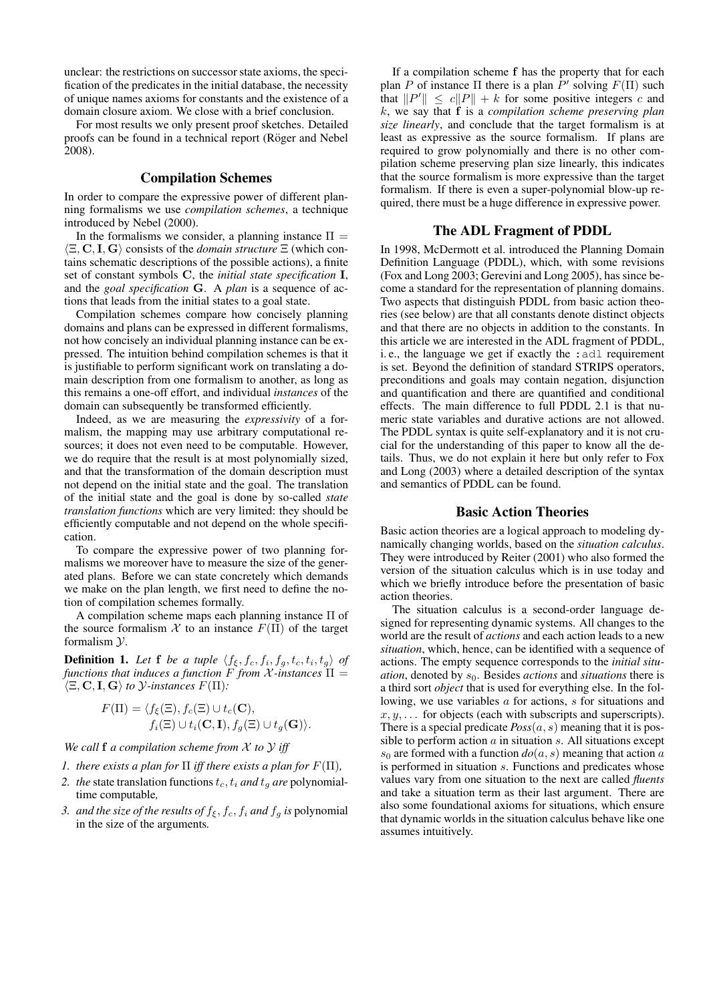unclear: the restrictions on successor state axioms, the specification of the predicates in the initial database, the necessity of unique names axioms for constants and the existence of a domain closure axiom. We close with a brief conclusion.

For most results we only present proof sketches. Detailed proofs can be found in a technical report (Röger and Nebel 2008).

#### Compilation Schemes

In order to compare the expressive power of different planning formalisms we use *compilation schemes*, a technique introduced by Nebel (2000).

In the formalisms we consider, a planning instance  $\Pi =$  $\langle \Xi, \mathbf{C}, \mathbf{I}, \mathbf{G} \rangle$  consists of the *domain structure*  $\Xi$  (which contains schematic descriptions of the possible actions), a finite set of constant symbols C, the *initial state specification* I, and the *goal specification* G. A *plan* is a sequence of actions that leads from the initial states to a goal state.

Compilation schemes compare how concisely planning domains and plans can be expressed in different formalisms, not how concisely an individual planning instance can be expressed. The intuition behind compilation schemes is that it is justifiable to perform significant work on translating a domain description from one formalism to another, as long as this remains a one-off effort, and individual *instances* of the domain can subsequently be transformed efficiently.

Indeed, as we are measuring the *expressivity* of a formalism, the mapping may use arbitrary computational resources; it does not even need to be computable. However, we do require that the result is at most polynomially sized, and that the transformation of the domain description must not depend on the initial state and the goal. The translation of the initial state and the goal is done by so-called *state translation functions* which are very limited: they should be efficiently computable and not depend on the whole specification.

To compare the expressive power of two planning formalisms we moreover have to measure the size of the generated plans. Before we can state concretely which demands we make on the plan length, we first need to define the notion of compilation schemes formally.

A compilation scheme maps each planning instance Π of the source formalism  $X$  to an instance  $F(\Pi)$  of the target formalism  $\mathcal{V}$ .

**Definition 1.** Let **f** be a tuple  $\langle f_{\xi}, f_c, f_i, f_g, t_c, t_i, t_g \rangle$  of *functions that induces a function* F *from* X *-instances* Π =  $\langle \Xi, \mathbf{C}, \mathbf{I}, \mathbf{G} \rangle$  to  $\mathcal{Y}\text{-}instances$   $F(\Pi)$ :

$$
F(\Pi) = \langle f_{\xi}(\Xi), f_c(\Xi) \cup t_c(\mathbf{C}),
$$
  

$$
f_i(\Xi) \cup t_i(\mathbf{C}, \mathbf{I}), f_g(\Xi) \cup t_g(\mathbf{G}) \rangle.
$$

*We call* f *a compilation scheme from* X *to* Y *iff*

- *1. there exists a plan for*  $\Pi$  *iff there exists a plan for*  $F(\Pi)$ *,*
- 2. the state translation functions  $t_c$ ,  $t_i$  *and*  $t_g$  *are* polynomialtime computable*,*
- *3. and the size of the results of*  $f_{\xi}, f_c, f_i$  *and*  $f_g$  *is* polynomial in the size of the arguments*.*

If a compilation scheme f has the property that for each plan P of instance  $\Pi$  there is a plan  $P'$  solving  $F(\Pi)$  such that  $||P'|| \le c||P|| + k$  for some positive integers c and k, we say that f is a *compilation scheme preserving plan size linearly*, and conclude that the target formalism is at least as expressive as the source formalism. If plans are required to grow polynomially and there is no other compilation scheme preserving plan size linearly, this indicates that the source formalism is more expressive than the target formalism. If there is even a super-polynomial blow-up required, there must be a huge difference in expressive power.

# The ADL Fragment of PDDL

In 1998, McDermott et al. introduced the Planning Domain Definition Language (PDDL), which, with some revisions (Fox and Long 2003; Gerevini and Long 2005), has since become a standard for the representation of planning domains. Two aspects that distinguish PDDL from basic action theories (see below) are that all constants denote distinct objects and that there are no objects in addition to the constants. In this article we are interested in the ADL fragment of PDDL, i. e., the language we get if exactly the :adl requirement is set. Beyond the definition of standard STRIPS operators, preconditions and goals may contain negation, disjunction and quantification and there are quantified and conditional effects. The main difference to full PDDL 2.1 is that numeric state variables and durative actions are not allowed. The PDDL syntax is quite self-explanatory and it is not crucial for the understanding of this paper to know all the details. Thus, we do not explain it here but only refer to Fox and Long (2003) where a detailed description of the syntax and semantics of PDDL can be found.

#### Basic Action Theories

Basic action theories are a logical approach to modeling dynamically changing worlds, based on the *situation calculus*. They were introduced by Reiter (2001) who also formed the version of the situation calculus which is in use today and which we briefly introduce before the presentation of basic action theories.

The situation calculus is a second-order language designed for representing dynamic systems. All changes to the world are the result of *actions* and each action leads to a new *situation*, which, hence, can be identified with a sequence of actions. The empty sequence corresponds to the *initial situation*, denoted by  $s_0$ . Besides *actions* and *situations* there is a third sort *object* that is used for everything else. In the following, we use variables a for actions, s for situations and  $x, y, \ldots$  for objects (each with subscripts and superscripts). There is a special predicate  $Poss(a, s)$  meaning that it is possible to perform action  $a$  in situation  $s$ . All situations except  $s_0$  are formed with a function  $do(a, s)$  meaning that action a is performed in situation s. Functions and predicates whose values vary from one situation to the next are called *fluents* and take a situation term as their last argument. There are also some foundational axioms for situations, which ensure that dynamic worlds in the situation calculus behave like one assumes intuitively.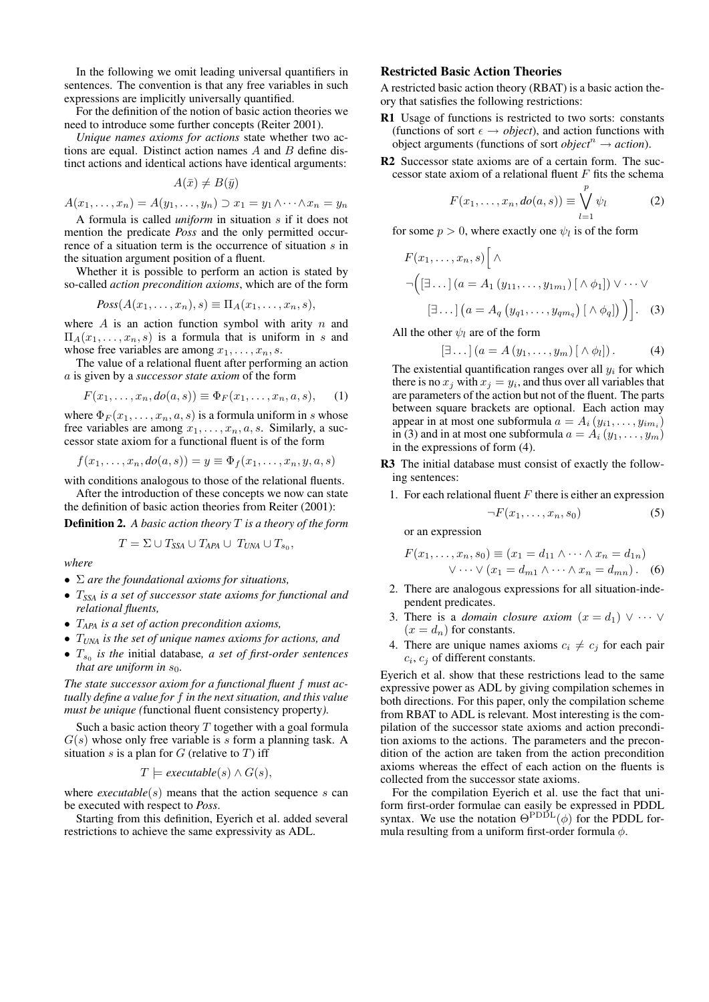In the following we omit leading universal quantifiers in sentences. The convention is that any free variables in such expressions are implicitly universally quantified.

For the definition of the notion of basic action theories we need to introduce some further concepts (Reiter 2001).

*Unique names axioms for actions* state whether two actions are equal. Distinct action names  $A$  and  $B$  define distinct actions and identical actions have identical arguments:

$$
A(\bar{x}) \neq B(\bar{y})
$$

 $A(x_1, ..., x_n) = A(y_1, ..., y_n) \supset x_1 = y_1 \wedge \cdots \wedge x_n = y_n$ 

A formula is called *uniform* in situation s if it does not mention the predicate *Poss* and the only permitted occurrence of a situation term is the occurrence of situation s in the situation argument position of a fluent.

Whether it is possible to perform an action is stated by so-called *action precondition axioms*, which are of the form

$$
Poss(A(x_1,\ldots,x_n),s) \equiv \Pi_A(x_1,\ldots,x_n,s),
$$

where A is an action function symbol with arity  $n$  and  $\Pi_A(x_1,\ldots,x_n,s)$  is a formula that is uniform in s and whose free variables are among  $x_1, \ldots, x_n, s$ .

The value of a relational fluent after performing an action a is given by a *successor state axiom* of the form

$$
F(x_1,\ldots,x_n,do(a,s)) \equiv \Phi_F(x_1,\ldots,x_n,a,s),\qquad(1)
$$

where  $\Phi_F(x_1,\ldots,x_n,a,s)$  is a formula uniform in s whose free variables are among  $x_1, \ldots, x_n, a, s$ . Similarly, a successor state axiom for a functional fluent is of the form

 $f(x_1, \ldots, x_n, do(a, s)) = y \equiv \Phi_f(x_1, \ldots, x_n, y, a, s)$ 

with conditions analogous to those of the relational fluents.

After the introduction of these concepts we now can state the definition of basic action theories from Reiter (2001):

Definition 2. *A basic action theory* T *is a theory of the form*

- $T = \Sigma \cup T_{SSA} \cup T_{APA} \cup T_{UNA} \cup T_{s_0},$ *where*
- Σ *are the foundational axioms for situations,*
- T*SSA is a set of successor state axioms for functional and relational fluents,*
- T*APA is a set of action precondition axioms,*
- T*UNA is the set of unique names axioms for actions, and*
- $T_{s_0}$  *is the initial database, a set of first-order sentences that are uniform in*  $s_0$ *.*

*The state successor axiom for a functional fluent* f *must actually define a value for* f *in the next situation, and this value must be unique (*functional fluent consistency property*).*

Such a basic action theory  $T$  together with a goal formula  $G(s)$  whose only free variable is s form a planning task. A situation s is a plan for  $G$  (relative to  $T$ ) iff

$$
T \models executeable(s) \land G(s),
$$

where  $execute(s)$  means that the action sequence s can be executed with respect to *Poss*.

Starting from this definition, Eyerich et al. added several restrictions to achieve the same expressivity as ADL.

# Restricted Basic Action Theories

A restricted basic action theory (RBAT) is a basic action theory that satisfies the following restrictions:

- R1 Usage of functions is restricted to two sorts: constants (functions of sort  $\epsilon \rightarrow object$ ), and action functions with object arguments (functions of sort *object*<sup> $n$ </sup>  $\rightarrow$  *action*).
- R2 Successor state axioms are of a certain form. The successor state axiom of a relational fluent  $F$  fits the schema

$$
F(x_1, \ldots, x_n, do(a, s)) \equiv \bigvee_{l=1}^p \psi_l \tag{2}
$$

for some  $p > 0$ , where exactly one  $\psi_l$  is of the form

$$
F(x_1, \ldots, x_n, s) \Big[ \wedge
$$
  
\n
$$
\neg \Big( [\exists \ldots] \big( a = A_1 \big( y_{11}, \ldots, y_{1m_1} \big) \big[ \wedge \phi_1 \big] \big) \vee \cdots \vee
$$
  
\n
$$
[\exists \ldots] \big( a = A_q \big( y_{q1}, \ldots, y_{qm_q} \big) \big[ \wedge \phi_q \big] \Big) \Big]. \quad (3)
$$

All the other  $\psi_l$  are of the form

$$
[\exists \dots ] (a = A(y_1, \dots, y_m) [\wedge \phi_l]). \tag{4}
$$

The existential quantification ranges over all  $y_i$  for which there is no  $x_j$  with  $x_j = y_i$ , and thus over all variables that are parameters of the action but not of the fluent. The parts between square brackets are optional. Each action may appear in at most one subformula  $a = A_i(y_{i1},...,y_{im_i})$ in (3) and in at most one subformula  $a = A_i(y_1, \ldots, y_m)$ in the expressions of form (4).

R3 The initial database must consist of exactly the following sentences:

1. For each relational fluent  $F$  there is either an expression

$$
\neg F(x_1, \ldots, x_n, s_0) \tag{5}
$$

or an expression

$$
F(x_1, \ldots, x_n, s_0) \equiv (x_1 = d_{11} \wedge \cdots \wedge x_n = d_{1n})
$$
  
 
$$
\vee \cdots \vee (x_1 = d_{m1} \wedge \cdots \wedge x_n = d_{mn}).
$$
 (6)

- 2. There are analogous expressions for all situation-independent predicates.
- 3. There is a *domain closure axiom*  $(x = d_1) \vee \cdots \vee$  $(x = d_n)$  for constants.
- 4. There are unique names axioms  $c_i \neq c_j$  for each pair  $c_i$ ,  $c_j$  of different constants.

Eyerich et al. show that these restrictions lead to the same expressive power as ADL by giving compilation schemes in both directions. For this paper, only the compilation scheme from RBAT to ADL is relevant. Most interesting is the compilation of the successor state axioms and action precondition axioms to the actions. The parameters and the precondition of the action are taken from the action precondition axioms whereas the effect of each action on the fluents is collected from the successor state axioms.

For the compilation Eyerich et al. use the fact that uniform first-order formulae can easily be expressed in PDDL syntax. We use the notation  $\Theta^{\text{PDDL}}(\phi)$  for the PDDL formula resulting from a uniform first-order formula  $\phi$ .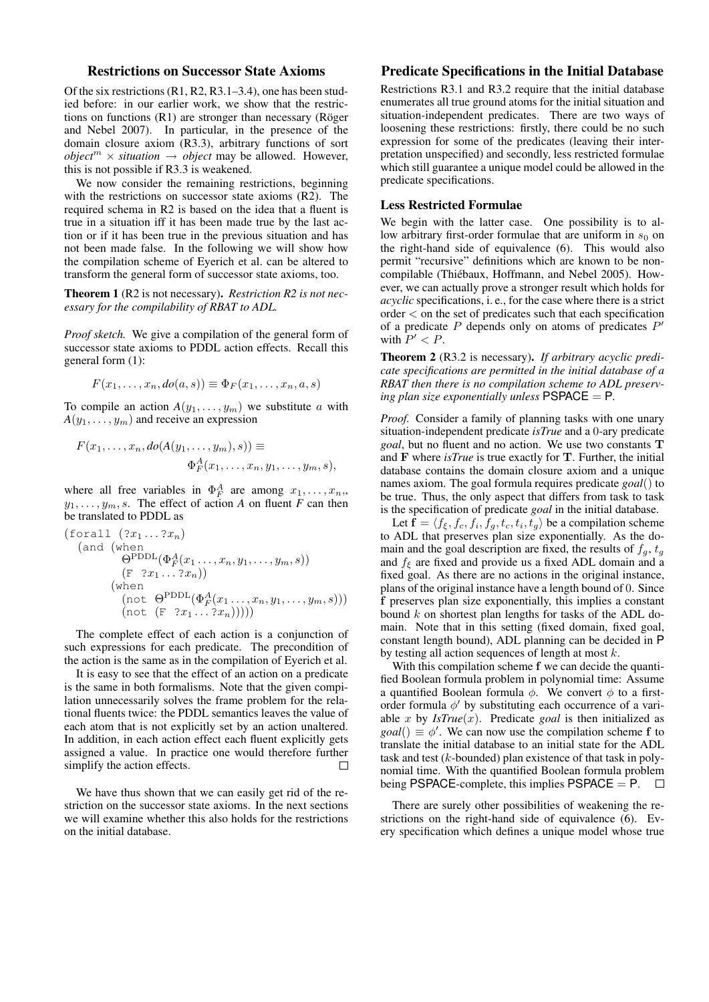# Restrictions on Successor State Axioms

Of the six restrictions (R1, R2, R3.1–3.4), one has been studied before: in our earlier work, we show that the restrictions on functions  $(R1)$  are stronger than necessary (Röger and Nebel 2007). In particular, in the presence of the domain closure axiom (R3.3), arbitrary functions of sort *object*<sup> $m$ </sup>  $\times$  *situation*  $\rightarrow$  *object* may be allowed. However, this is not possible if R3.3 is weakened.

We now consider the remaining restrictions, beginning with the restrictions on successor state axioms (R2). The required schema in R2 is based on the idea that a fluent is true in a situation iff it has been made true by the last action or if it has been true in the previous situation and has not been made false. In the following we will show how the compilation scheme of Eyerich et al. can be altered to transform the general form of successor state axioms, too.

Theorem 1 (R2 is not necessary). *Restriction R2 is not necessary for the compilability of RBAT to ADL.*

*Proof sketch.* We give a compilation of the general form of successor state axioms to PDDL action effects. Recall this general form (1):

$$
F(x_1,\ldots,x_n,do(a,s)) \equiv \Phi_F(x_1,\ldots,x_n,a,s)
$$

To compile an action  $A(y_1, \ldots, y_m)$  we substitute a with  $A(y_1, \ldots, y_m)$  and receive an expression

$$
F(x_1,\ldots,x_n,do(A(y_1,\ldots,y_m),s)) \equiv
$$
  
\n
$$
\Phi_F^A(x_1,\ldots,x_n,y_1,\ldots,y_m,s),
$$

where all free variables in  $\Phi_F^A$  are among  $x_1, \ldots, x_n$ ,  $y_1, \ldots, y_m, s$ . The effect of action *A* on fluent *F* can then be translated to PDDL as

$$
\begin{array}{ll}\n\text{(for all } (2x_1 \dots 2x_n) \\
\text{(and (when }\theta^{\text{PDDL}}(\Phi_F^A(x_1 \dots, x_n, y_1, \dots, y_m, s)) \\
&\quad (\text{F } 2x_1 \dots 2x_n)) \\
\text{(when }\text{(not }\Theta^{\text{PDDL}}(\Phi_F^A(x_1 \dots, x_n, y_1, \dots, y_m, s))) \\
&\quad (\text{not } (\text{F } 2x_1 \dots 2x_n))))\n\end{array}
$$

The complete effect of each action is a conjunction of such expressions for each predicate. The precondition of the action is the same as in the compilation of Eyerich et al.

It is easy to see that the effect of an action on a predicate is the same in both formalisms. Note that the given compilation unnecessarily solves the frame problem for the relational fluents twice: the PDDL semantics leaves the value of each atom that is not explicitly set by an action unaltered. In addition, in each action effect each fluent explicitly gets assigned a value. In practice one would therefore further simplify the action effects.  $\Box$ 

We have thus shown that we can easily get rid of the restriction on the successor state axioms. In the next sections we will examine whether this also holds for the restrictions on the initial database.

# Predicate Specifications in the Initial Database

Restrictions R3.1 and R3.2 require that the initial database enumerates all true ground atoms for the initial situation and situation-independent predicates. There are two ways of loosening these restrictions: firstly, there could be no such expression for some of the predicates (leaving their interpretation unspecified) and secondly, less restricted formulae which still guarantee a unique model could be allowed in the predicate specifications.

#### Less Restricted Formulae

We begin with the latter case. One possibility is to allow arbitrary first-order formulae that are uniform in  $s_0$  on the right-hand side of equivalence (6). This would also permit "recursive" definitions which are known to be noncompilable (Thiébaux, Hoffmann, and Nebel 2005). However, we can actually prove a stronger result which holds for *acyclic* specifications, i. e., for the case where there is a strict order < on the set of predicates such that each specification of a predicate  $P$  depends only on atoms of predicates  $P'$ with  $P' < P$ .

Theorem 2 (R3.2 is necessary). *If arbitrary acyclic predicate specifications are permitted in the initial database of a RBAT then there is no compilation scheme to ADL preserving plan size exponentially unless*  $PSPACE = P$ *.* 

*Proof.* Consider a family of planning tasks with one unary situation-independent predicate *isTrue* and a 0-ary predicate *goal*, but no fluent and no action. We use two constants T and F where *isTrue* is true exactly for T. Further, the initial database contains the domain closure axiom and a unique names axiom. The goal formula requires predicate *goal*() to be true. Thus, the only aspect that differs from task to task is the specification of predicate *goal* in the initial database.

Let  $\mathbf{f} = \langle f_{\xi}, f_c, f_i, f_g, t_c, t_i, t_g \rangle$  be a compilation scheme to ADL that preserves plan size exponentially. As the domain and the goal description are fixed, the results of  $f<sub>g</sub>$ ,  $t<sub>g</sub>$ and  $f_{\xi}$  are fixed and provide us a fixed ADL domain and a fixed goal. As there are no actions in the original instance, plans of the original instance have a length bound of 0. Since f preserves plan size exponentially, this implies a constant bound  $k$  on shortest plan lengths for tasks of the ADL domain. Note that in this setting (fixed domain, fixed goal, constant length bound), ADL planning can be decided in P by testing all action sequences of length at most  $k$ .

With this compilation scheme f we can decide the quantified Boolean formula problem in polynomial time: Assume a quantified Boolean formula  $\phi$ . We convert  $\phi$  to a firstorder formula  $\phi'$  by substituting each occurrence of a variable x by  $IsTrue(x)$ . Predicate *goal* is then initialized as  $\text{goal}() \equiv \phi'.$  We can now use the compilation scheme f to translate the initial database to an initial state for the ADL task and test (k-bounded) plan existence of that task in polynomial time. With the quantified Boolean formula problem being PSPACE-complete, this implies PSPACE  $=$  P.  $\Box$ 

There are surely other possibilities of weakening the restrictions on the right-hand side of equivalence (6). Every specification which defines a unique model whose true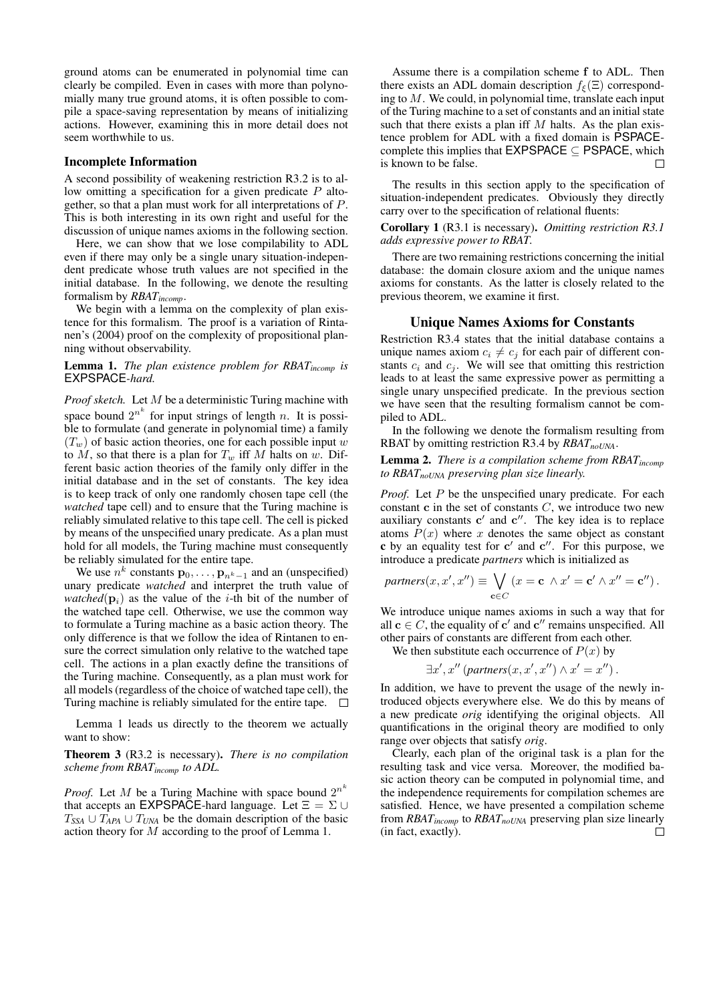ground atoms can be enumerated in polynomial time can clearly be compiled. Even in cases with more than polynomially many true ground atoms, it is often possible to compile a space-saving representation by means of initializing actions. However, examining this in more detail does not seem worthwhile to us.

#### Incomplete Information

A second possibility of weakening restriction R3.2 is to allow omitting a specification for a given predicate  $P$  altogether, so that a plan must work for all interpretations of P. This is both interesting in its own right and useful for the discussion of unique names axioms in the following section.

Here, we can show that we lose compilability to ADL even if there may only be a single unary situation-independent predicate whose truth values are not specified in the initial database. In the following, we denote the resulting formalism by *RBATincomp*.

We begin with a lemma on the complexity of plan existence for this formalism. The proof is a variation of Rintanen's (2004) proof on the complexity of propositional planning without observability.

#### Lemma 1. *The plan existence problem for RBATincomp is* EXPSPACE*-hard.*

*Proof sketch.* Let M be a deterministic Turing machine with space bound  $2^{n^k}$  for input strings of length n. It is possible to formulate (and generate in polynomial time) a family  $(T_w)$  of basic action theories, one for each possible input w to  $M$ , so that there is a plan for  $T_w$  iff M halts on w. Different basic action theories of the family only differ in the initial database and in the set of constants. The key idea is to keep track of only one randomly chosen tape cell (the *watched* tape cell) and to ensure that the Turing machine is reliably simulated relative to this tape cell. The cell is picked by means of the unspecified unary predicate. As a plan must hold for all models, the Turing machine must consequently be reliably simulated for the entire tape.

We use  $n^k$  constants  $\mathbf{p}_0, \dots, \mathbf{p}_{n^k-1}$  and an (unspecified) unary predicate *watched* and interpret the truth value of *watched*( $\mathbf{p}_i$ ) as the value of the *i*-th bit of the number of the watched tape cell. Otherwise, we use the common way to formulate a Turing machine as a basic action theory. The only difference is that we follow the idea of Rintanen to ensure the correct simulation only relative to the watched tape cell. The actions in a plan exactly define the transitions of the Turing machine. Consequently, as a plan must work for all models (regardless of the choice of watched tape cell), the Turing machine is reliably simulated for the entire tape.  $\Box$ 

Lemma 1 leads us directly to the theorem we actually want to show:

Theorem 3 (R3.2 is necessary). *There is no compilation scheme from RBATincomp to ADL.*

*Proof.* Let M be a Turing Machine with space bound  $2^{n^k}$ that accepts an EXPSPACE-hard language. Let  $\Xi = \Sigma \cup$  $T_{SSA} \cup T_{APA} \cup T_{UNA}$  be the domain description of the basic action theory for M according to the proof of Lemma 1.

Assume there is a compilation scheme f to ADL. Then there exists an ADL domain description  $f_{\xi}(\Xi)$  corresponding to  $M$ . We could, in polynomial time, translate each input of the Turing machine to a set of constants and an initial state such that there exists a plan iff  $M$  halts. As the plan existence problem for ADL with a fixed domain is PSPACEcomplete this implies that  $\mathsf{EXPSPACE} \subseteq \mathsf{PSPACE}$ , which is known to be false.  $\Box$ 

The results in this section apply to the specification of situation-independent predicates. Obviously they directly carry over to the specification of relational fluents:

Corollary 1 (R3.1 is necessary). *Omitting restriction R3.1 adds expressive power to RBAT.*

There are two remaining restrictions concerning the initial database: the domain closure axiom and the unique names axioms for constants. As the latter is closely related to the previous theorem, we examine it first.

### Unique Names Axioms for Constants

Restriction R3.4 states that the initial database contains a unique names axiom  $c_i \neq c_j$  for each pair of different constants  $c_i$  and  $c_j$ . We will see that omitting this restriction leads to at least the same expressive power as permitting a single unary unspecified predicate. In the previous section we have seen that the resulting formalism cannot be compiled to ADL.

In the following we denote the formalism resulting from RBAT by omitting restriction R3.4 by *RBATnoUNA*.

Lemma 2. *There is a compilation scheme from RBATincomp to RBATnoUNA preserving plan size linearly.*

*Proof.* Let P be the unspecified unary predicate. For each constant  $c$  in the set of constants  $C$ , we introduce two new auxiliary constants  $c'$  and  $c''$ . The key idea is to replace atoms  $P(x)$  where x denotes the same object as constant  $c$  by an equality test for  $c'$  and  $c''$ . For this purpose, we introduce a predicate *partners* which is initialized as

$$
partners(x, x', x'') \equiv \bigvee_{\mathbf{c} \in C} (x = \mathbf{c} \land x' = \mathbf{c}' \land x'' = \mathbf{c}'').
$$

We introduce unique names axioms in such a way that for all  $c \in C$ , the equality of  $c'$  and  $c''$  remains unspecified. All other pairs of constants are different from each other.

We then substitute each occurrence of  $P(x)$  by

$$
\exists x', x'' \, (partners(x, x', x'') \land x' = x'') \, .
$$

In addition, we have to prevent the usage of the newly introduced objects everywhere else. We do this by means of a new predicate *orig* identifying the original objects. All quantifications in the original theory are modified to only range over objects that satisfy *orig*.

Clearly, each plan of the original task is a plan for the resulting task and vice versa. Moreover, the modified basic action theory can be computed in polynomial time, and the independence requirements for compilation schemes are satisfied. Hence, we have presented a compilation scheme from *RBATincomp* to *RBATnoUNA* preserving plan size linearly (in fact, exactly). $\Box$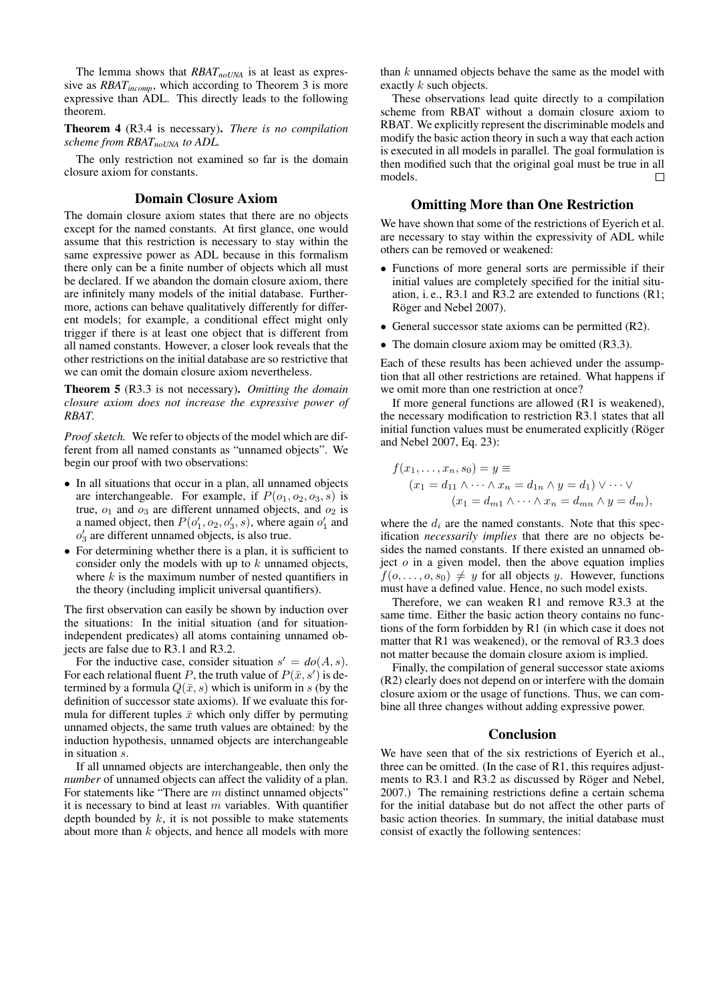The lemma shows that *RBATnoUNA* is at least as expressive as *RBATincomp*, which according to Theorem 3 is more expressive than ADL. This directly leads to the following theorem.

Theorem 4 (R3.4 is necessary). *There is no compilation scheme from RBATnoUNA to ADL.*

The only restriction not examined so far is the domain closure axiom for constants.

# Domain Closure Axiom

The domain closure axiom states that there are no objects except for the named constants. At first glance, one would assume that this restriction is necessary to stay within the same expressive power as ADL because in this formalism there only can be a finite number of objects which all must be declared. If we abandon the domain closure axiom, there are infinitely many models of the initial database. Furthermore, actions can behave qualitatively differently for different models; for example, a conditional effect might only trigger if there is at least one object that is different from all named constants. However, a closer look reveals that the other restrictions on the initial database are so restrictive that we can omit the domain closure axiom nevertheless.

Theorem 5 (R3.3 is not necessary). *Omitting the domain closure axiom does not increase the expressive power of RBAT.*

*Proof sketch.* We refer to objects of the model which are different from all named constants as "unnamed objects". We begin our proof with two observations:

- In all situations that occur in a plan, all unnamed objects are interchangeable. For example, if  $P(o_1, o_2, o_3, s)$  is true,  $o_1$  and  $o_3$  are different unnamed objects, and  $o_2$  is a named object, then  $P(o'_1, o_2, o'_3, s)$ , where again  $o'_1$  and  $o'_3$  are different unnamed objects, is also true.
- For determining whether there is a plan, it is sufficient to consider only the models with up to  $k$  unnamed objects, where  $k$  is the maximum number of nested quantifiers in the theory (including implicit universal quantifiers).

The first observation can easily be shown by induction over the situations: In the initial situation (and for situationindependent predicates) all atoms containing unnamed objects are false due to R3.1 and R3.2.

For the inductive case, consider situation  $s' = do(A, s)$ . For each relational fluent P, the truth value of  $P(\bar{x}, s')$  is determined by a formula  $Q(\bar{x}, s)$  which is uniform in s (by the definition of successor state axioms). If we evaluate this formula for different tuples  $\bar{x}$  which only differ by permuting unnamed objects, the same truth values are obtained: by the induction hypothesis, unnamed objects are interchangeable in situation s.

If all unnamed objects are interchangeable, then only the *number* of unnamed objects can affect the validity of a plan. For statements like "There are m distinct unnamed objects" it is necessary to bind at least  $m$  variables. With quantifier depth bounded by  $k$ , it is not possible to make statements about more than  $k$  objects, and hence all models with more

than  $k$  unnamed objects behave the same as the model with exactly k such objects.

These observations lead quite directly to a compilation scheme from RBAT without a domain closure axiom to RBAT. We explicitly represent the discriminable models and modify the basic action theory in such a way that each action is executed in all models in parallel. The goal formulation is then modified such that the original goal must be true in all models.  $\Box$ 

# Omitting More than One Restriction

We have shown that some of the restrictions of Eyerich et al. are necessary to stay within the expressivity of ADL while others can be removed or weakened:

- Functions of more general sorts are permissible if their initial values are completely specified for the initial situation, i. e., R3.1 and R3.2 are extended to functions (R1; Röger and Nebel 2007).
- General successor state axioms can be permitted (R2).
- The domain closure axiom may be omitted (R3.3).

Each of these results has been achieved under the assumption that all other restrictions are retained. What happens if we omit more than one restriction at once?

If more general functions are allowed (R1 is weakened), the necessary modification to restriction R3.1 states that all initial function values must be enumerated explicitly (Röger and Nebel 2007, Eq. 23):

$$
f(x_1, \ldots, x_n, s_0) = y \equiv
$$
  
\n
$$
(x_1 = d_{11} \land \cdots \land x_n = d_{1n} \land y = d_1) \lor \cdots \lor
$$
  
\n
$$
(x_1 = d_{m1} \land \cdots \land x_n = d_{mn} \land y = d_m),
$$

where the  $d_i$  are the named constants. Note that this specification *necessarily implies* that there are no objects besides the named constants. If there existed an unnamed object  $o$  in a given model, then the above equation implies  $f(0, \ldots, 0, s_0) \neq y$  for all objects y. However, functions must have a defined value. Hence, no such model exists.

Therefore, we can weaken R1 and remove R3.3 at the same time. Either the basic action theory contains no functions of the form forbidden by R1 (in which case it does not matter that R1 was weakened), or the removal of R3.3 does not matter because the domain closure axiom is implied.

Finally, the compilation of general successor state axioms (R2) clearly does not depend on or interfere with the domain closure axiom or the usage of functions. Thus, we can combine all three changes without adding expressive power.

# Conclusion

We have seen that of the six restrictions of Eyerich et al., three can be omitted. (In the case of R1, this requires adjustments to R3.1 and R3.2 as discussed by Röger and Nebel, 2007.) The remaining restrictions define a certain schema for the initial database but do not affect the other parts of basic action theories. In summary, the initial database must consist of exactly the following sentences: